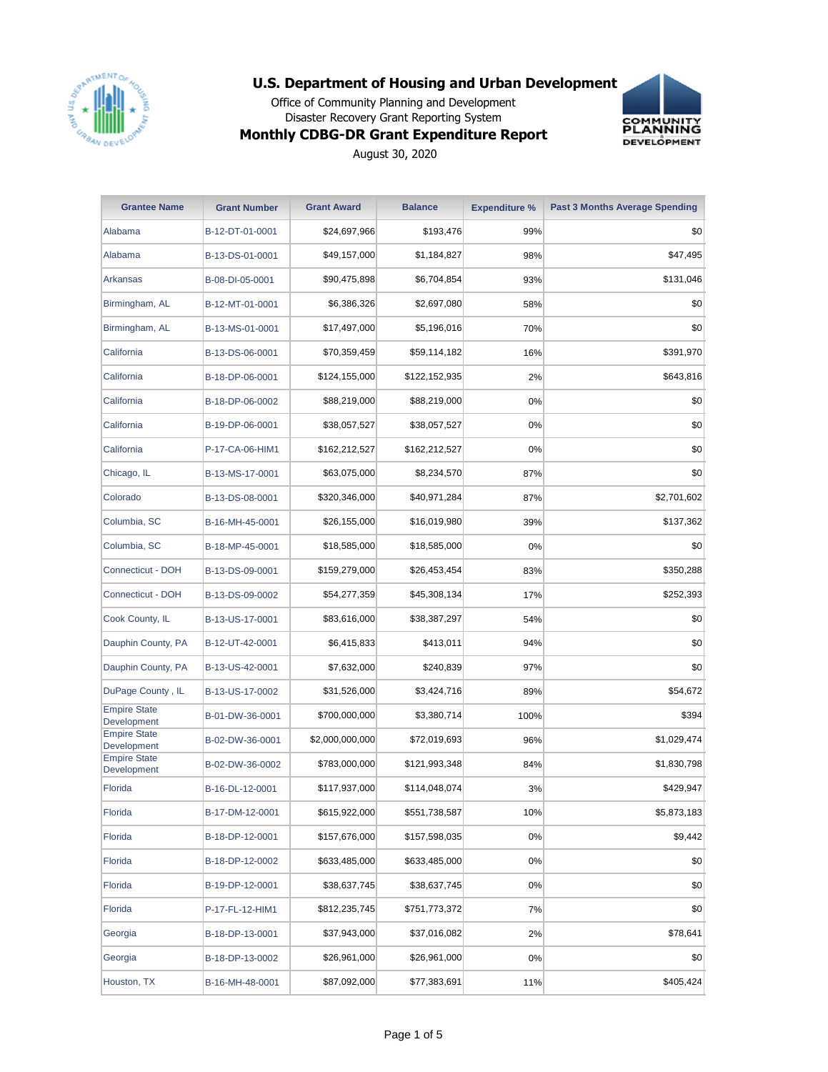

Office of Community Planning and Development Disaster Recovery Grant Reporting System



#### **Monthly CDBG-DR Grant Expenditure Report**

| <b>Grantee Name</b>                | <b>Grant Number</b> | <b>Grant Award</b> | <b>Balance</b> | <b>Expenditure %</b> | <b>Past 3 Months Average Spending</b> |
|------------------------------------|---------------------|--------------------|----------------|----------------------|---------------------------------------|
| Alabama                            | B-12-DT-01-0001     | \$24,697,966       | \$193,476      | 99%                  | \$0                                   |
| Alabama                            | B-13-DS-01-0001     | \$49,157,000       | \$1,184,827    | 98%                  | \$47,495                              |
| Arkansas                           | B-08-DI-05-0001     | \$90,475,898       | \$6,704,854    | 93%                  | \$131,046                             |
| Birmingham, AL                     | B-12-MT-01-0001     | \$6,386,326        | \$2,697,080    | 58%                  | \$0                                   |
| Birmingham, AL                     | B-13-MS-01-0001     | \$17,497,000       | \$5,196,016    | 70%                  | \$0                                   |
| California                         | B-13-DS-06-0001     | \$70,359,459       | \$59,114,182   | 16%                  | \$391,970                             |
| California                         | B-18-DP-06-0001     | \$124,155,000      | \$122,152,935  | 2%                   | \$643,816                             |
| California                         | B-18-DP-06-0002     | \$88,219,000       | \$88,219,000   | 0%                   | \$0                                   |
| California                         | B-19-DP-06-0001     | \$38,057,527       | \$38,057,527   | 0%                   | \$0                                   |
| California                         | P-17-CA-06-HIM1     | \$162,212,527      | \$162,212,527  | 0%                   | \$0                                   |
| Chicago, IL                        | B-13-MS-17-0001     | \$63,075,000       | \$8,234,570    | 87%                  | \$0                                   |
| Colorado                           | B-13-DS-08-0001     | \$320,346,000      | \$40,971,284   | 87%                  | \$2,701,602                           |
| Columbia, SC                       | B-16-MH-45-0001     | \$26,155,000       | \$16,019,980   | 39%                  | \$137,362                             |
| Columbia, SC                       | B-18-MP-45-0001     | \$18,585,000       | \$18,585,000   | 0%                   | \$0                                   |
| Connecticut - DOH                  | B-13-DS-09-0001     | \$159,279,000      | \$26,453,454   | 83%                  | \$350,288                             |
| Connecticut - DOH                  | B-13-DS-09-0002     | \$54,277,359       | \$45,308,134   | 17%                  | \$252,393                             |
| Cook County, IL                    | B-13-US-17-0001     | \$83,616,000       | \$38,387,297   | 54%                  | \$0                                   |
| Dauphin County, PA                 | B-12-UT-42-0001     | \$6,415,833        | \$413,011      | 94%                  | \$0                                   |
| Dauphin County, PA                 | B-13-US-42-0001     | \$7,632,000        | \$240,839      | 97%                  | \$0                                   |
| DuPage County, IL                  | B-13-US-17-0002     | \$31,526,000       | \$3,424,716    | 89%                  | \$54,672                              |
| <b>Empire State</b><br>Development | B-01-DW-36-0001     | \$700,000,000      | \$3,380,714    | 100%                 | \$394                                 |
| <b>Empire State</b><br>Development | B-02-DW-36-0001     | \$2,000,000,000    | \$72,019,693   | 96%                  | \$1,029,474                           |
| <b>Empire State</b><br>Development | B-02-DW-36-0002     | \$783,000,000      | \$121,993,348  | 84%                  | \$1,830,798                           |
| Florida                            | B-16-DL-12-0001     | \$117,937,000      | \$114,048,074  | 3%                   | \$429,947                             |
| Florida                            | B-17-DM-12-0001     | \$615,922,000      | \$551,738,587  | 10%                  | \$5,873,183                           |
| Florida                            | B-18-DP-12-0001     | \$157,676,000      | \$157,598,035  | $0\%$                | \$9,442                               |
| Florida                            | B-18-DP-12-0002     | \$633,485,000      | \$633,485,000  | 0%                   | \$0                                   |
| Florida                            | B-19-DP-12-0001     | \$38,637,745       | \$38,637,745   | $0\%$                | \$0                                   |
| Florida                            | P-17-FL-12-HIM1     | \$812,235,745      | \$751,773,372  | 7%                   | \$0                                   |
| Georgia                            | B-18-DP-13-0001     | \$37,943,000       | \$37,016,082   | 2%                   | \$78,641                              |
| Georgia                            | B-18-DP-13-0002     | \$26,961,000       | \$26,961,000   | 0%                   | \$0                                   |
| Houston, TX                        | B-16-MH-48-0001     | \$87,092,000       | \$77,383,691   | 11%                  | \$405,424                             |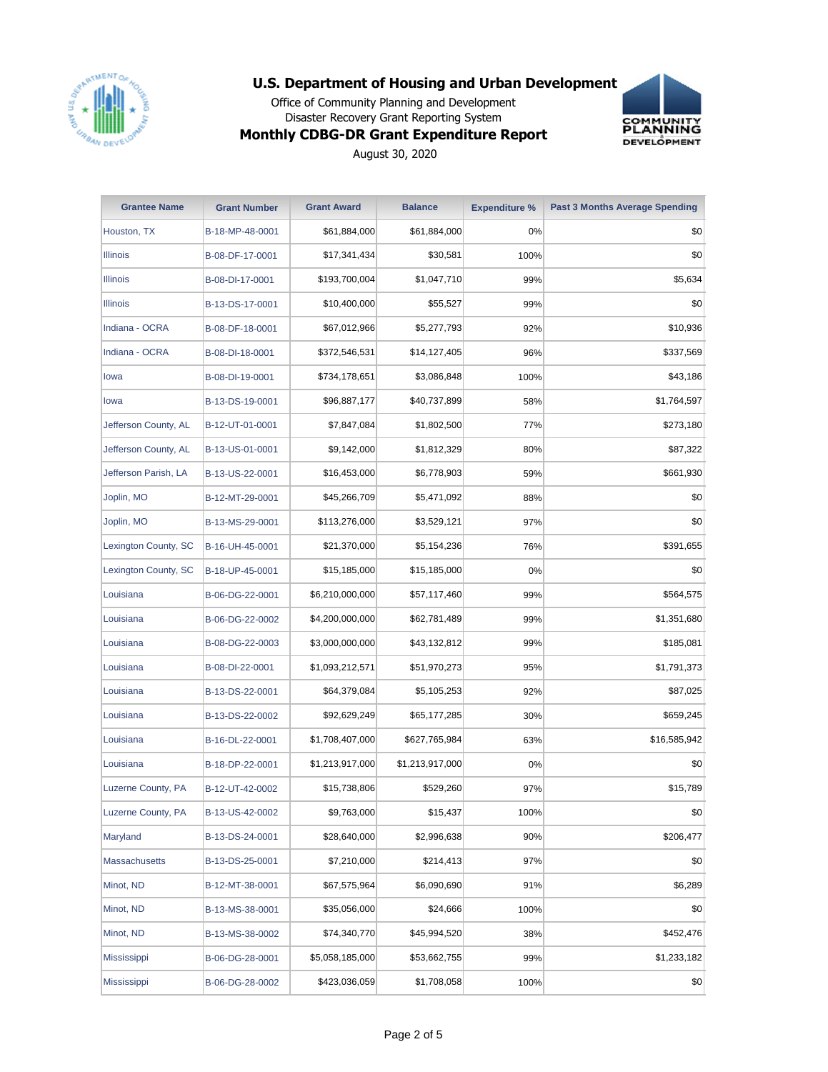

Office of Community Planning and Development Disaster Recovery Grant Reporting System



## **Monthly CDBG-DR Grant Expenditure Report**

| <b>Grantee Name</b>  | <b>Grant Number</b> | <b>Grant Award</b> | <b>Balance</b>  | <b>Expenditure %</b> | <b>Past 3 Months Average Spending</b> |
|----------------------|---------------------|--------------------|-----------------|----------------------|---------------------------------------|
| Houston, TX          | B-18-MP-48-0001     | \$61,884,000       | \$61,884,000    | 0%                   | \$0                                   |
| <b>Illinois</b>      | B-08-DF-17-0001     | \$17,341,434       | \$30,581        | 100%                 | \$0                                   |
| <b>Illinois</b>      | B-08-DI-17-0001     | \$193,700,004      | \$1,047,710     | 99%                  | \$5,634                               |
| <b>Illinois</b>      | B-13-DS-17-0001     | \$10,400,000       | \$55,527        | 99%                  | \$0                                   |
| Indiana - OCRA       | B-08-DF-18-0001     | \$67,012,966       | \$5,277,793     | 92%                  | \$10,936                              |
| Indiana - OCRA       | B-08-DI-18-0001     | \$372,546,531      | \$14,127,405    | 96%                  | \$337,569                             |
| lowa                 | B-08-DI-19-0001     | \$734,178,651      | \$3,086,848     | 100%                 | \$43,186                              |
| lowa                 | B-13-DS-19-0001     | \$96,887,177       | \$40,737,899    | 58%                  | \$1,764,597                           |
| Jefferson County, AL | B-12-UT-01-0001     | \$7,847,084        | \$1,802,500     | 77%                  | \$273,180                             |
| Jefferson County, AL | B-13-US-01-0001     | \$9,142,000        | \$1,812,329     | 80%                  | \$87,322                              |
| Jefferson Parish, LA | B-13-US-22-0001     | \$16,453,000       | \$6,778,903     | 59%                  | \$661,930                             |
| Joplin, MO           | B-12-MT-29-0001     | \$45,266,709       | \$5,471,092     | 88%                  | \$0                                   |
| Joplin, MO           | B-13-MS-29-0001     | \$113,276,000      | \$3,529,121     | 97%                  | \$0                                   |
| Lexington County, SC | B-16-UH-45-0001     | \$21,370,000       | \$5,154,236     | 76%                  | \$391,655                             |
| Lexington County, SC | B-18-UP-45-0001     | \$15,185,000       | \$15,185,000    | 0%                   | \$0                                   |
| Louisiana            | B-06-DG-22-0001     | \$6,210,000,000    | \$57,117,460    | 99%                  | \$564,575                             |
| Louisiana            | B-06-DG-22-0002     | \$4,200,000,000    | \$62,781,489    | 99%                  | \$1,351,680                           |
| Louisiana            | B-08-DG-22-0003     | \$3,000,000,000    | \$43,132,812    | 99%                  | \$185,081                             |
| Louisiana            | B-08-DI-22-0001     | \$1,093,212,571    | \$51,970,273    | 95%                  | \$1,791,373                           |
| Louisiana            | B-13-DS-22-0001     | \$64,379,084       | \$5,105,253     | 92%                  | \$87,025                              |
| Louisiana            | B-13-DS-22-0002     | \$92,629,249       | \$65,177,285    | 30%                  | \$659,245                             |
| Louisiana            | B-16-DL-22-0001     | \$1,708,407,000    | \$627,765,984   | 63%                  | \$16,585,942                          |
| Louisiana            | B-18-DP-22-0001     | \$1,213,917,000    | \$1,213,917,000 | 0%                   | \$0                                   |
| Luzerne County, PA   | B-12-UT-42-0002     | \$15,738,806       | \$529,260       | 97%                  | \$15,789                              |
| Luzerne County, PA   | B-13-US-42-0002     | \$9,763,000        | \$15,437        | 100%                 | \$0                                   |
| Maryland             | B-13-DS-24-0001     | \$28,640,000       | \$2,996,638     | 90%                  | \$206,477                             |
| Massachusetts        | B-13-DS-25-0001     | \$7,210,000        | \$214,413       | 97%                  | \$0                                   |
| Minot, ND            | B-12-MT-38-0001     | \$67,575,964       | \$6,090,690     | 91%                  | \$6,289                               |
| Minot, ND            | B-13-MS-38-0001     | \$35,056,000       | \$24,666        | 100%                 | \$0                                   |
| Minot, ND            | B-13-MS-38-0002     | \$74,340,770       | \$45,994,520    | 38%                  | \$452,476                             |
| Mississippi          | B-06-DG-28-0001     | \$5,058,185,000    | \$53,662,755    | 99%                  | \$1,233,182                           |
| Mississippi          | B-06-DG-28-0002     | \$423,036,059      | \$1,708,058     | 100%                 | \$0                                   |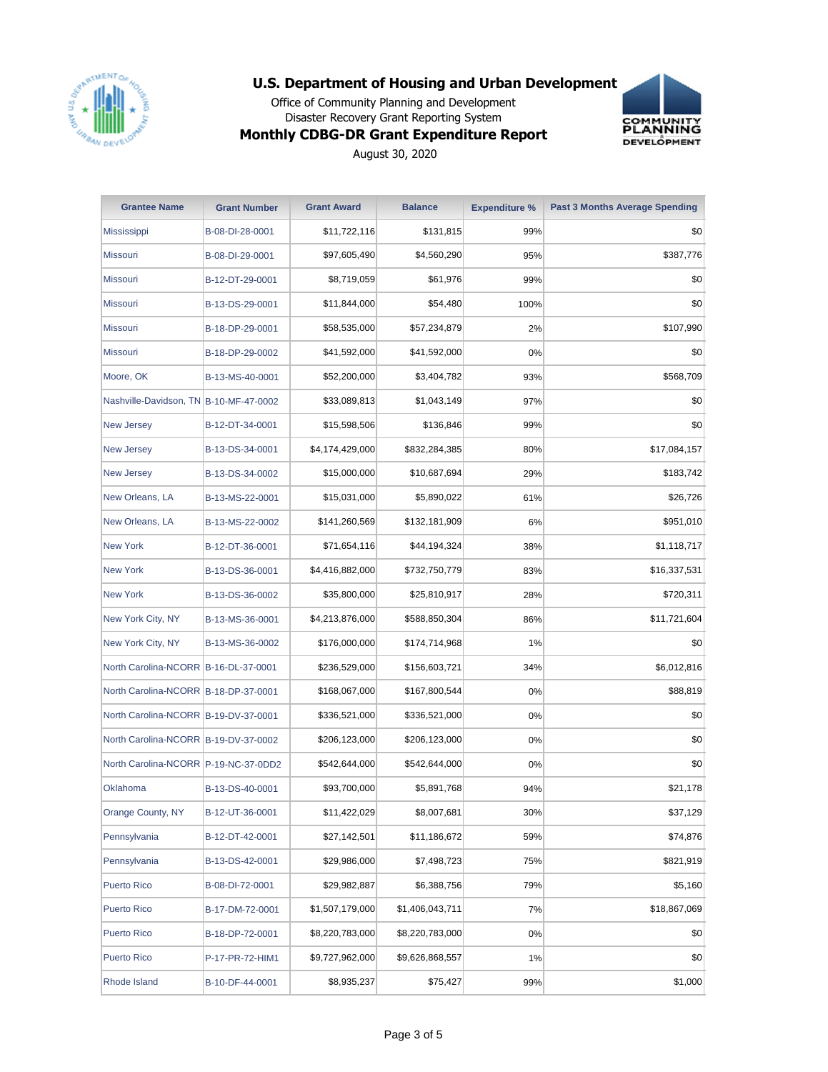

Office of Community Planning and Development Disaster Recovery Grant Reporting System



#### **Monthly CDBG-DR Grant Expenditure Report**

| <b>Grantee Name</b>                    | <b>Grant Number</b> | <b>Grant Award</b> | <b>Balance</b>  | <b>Expenditure %</b> | <b>Past 3 Months Average Spending</b> |
|----------------------------------------|---------------------|--------------------|-----------------|----------------------|---------------------------------------|
| Mississippi                            | B-08-DI-28-0001     | \$11,722,116       | \$131,815       | 99%                  | \$0                                   |
| Missouri                               | B-08-DI-29-0001     | \$97,605,490       | \$4,560,290     | 95%                  | \$387,776                             |
| Missouri                               | B-12-DT-29-0001     | \$8,719,059        | \$61,976        | 99%                  | \$0                                   |
| <b>Missouri</b>                        | B-13-DS-29-0001     | \$11,844,000       | \$54,480        | 100%                 | \$0                                   |
| Missouri                               | B-18-DP-29-0001     | \$58,535,000       | \$57,234,879    | 2%                   | \$107,990                             |
| Missouri                               | B-18-DP-29-0002     | \$41,592,000       | \$41,592,000    | 0%                   | \$0                                   |
| Moore, OK                              | B-13-MS-40-0001     | \$52,200,000       | \$3,404,782     | 93%                  | \$568,709                             |
| Nashville-Davidson, TN B-10-MF-47-0002 |                     | \$33,089,813       | \$1,043,149     | 97%                  | \$0                                   |
| <b>New Jersey</b>                      | B-12-DT-34-0001     | \$15,598,506       | \$136,846       | 99%                  | \$0                                   |
| <b>New Jersey</b>                      | B-13-DS-34-0001     | \$4,174,429,000    | \$832,284,385   | 80%                  | \$17,084,157                          |
| <b>New Jersey</b>                      | B-13-DS-34-0002     | \$15,000,000       | \$10,687,694    | 29%                  | \$183,742                             |
| New Orleans, LA                        | B-13-MS-22-0001     | \$15,031,000       | \$5,890,022     | 61%                  | \$26,726                              |
| New Orleans, LA                        | B-13-MS-22-0002     | \$141,260,569      | \$132,181,909   | 6%                   | \$951,010                             |
| <b>New York</b>                        | B-12-DT-36-0001     | \$71,654,116       | \$44,194,324    | 38%                  | \$1,118,717                           |
| <b>New York</b>                        | B-13-DS-36-0001     | \$4,416,882,000    | \$732,750,779   | 83%                  | \$16,337,531                          |
| <b>New York</b>                        | B-13-DS-36-0002     | \$35,800,000       | \$25,810,917    | 28%                  | \$720,311                             |
| New York City, NY                      | B-13-MS-36-0001     | \$4,213,876,000    | \$588,850,304   | 86%                  | \$11,721,604                          |
| New York City, NY                      | B-13-MS-36-0002     | \$176,000,000      | \$174,714,968   | 1%                   | \$0                                   |
| North Carolina-NCORR B-16-DL-37-0001   |                     | \$236,529,000      | \$156,603,721   | 34%                  | \$6,012,816                           |
| North Carolina-NCORR B-18-DP-37-0001   |                     | \$168,067,000      | \$167,800,544   | 0%                   | \$88,819                              |
| North Carolina-NCORR B-19-DV-37-0001   |                     | \$336,521,000      | \$336,521,000   | $0\%$                | \$0                                   |
| North Carolina-NCORR B-19-DV-37-0002   |                     | \$206,123,000      | \$206,123,000   | 0%                   | \$0                                   |
| North Carolina-NCORR P-19-NC-37-0DD2   |                     | \$542,644,000      | \$542,644,000   | 0%                   | \$0                                   |
| Oklahoma                               | B-13-DS-40-0001     | \$93,700,000       | \$5,891,768     | 94%                  | \$21,178                              |
| Orange County, NY                      | B-12-UT-36-0001     | \$11,422,029       | \$8,007,681     | 30%                  | \$37,129                              |
| Pennsylvania                           | B-12-DT-42-0001     | \$27,142,501       | \$11,186,672    | 59%                  | \$74,876                              |
| Pennsylvania                           | B-13-DS-42-0001     | \$29,986,000       | \$7,498,723     | 75%                  | \$821,919                             |
| <b>Puerto Rico</b>                     | B-08-DI-72-0001     | \$29,982,887       | \$6,388,756     | 79%                  | \$5,160                               |
| <b>Puerto Rico</b>                     | B-17-DM-72-0001     | \$1,507,179,000    | \$1,406,043,711 | 7%                   | \$18,867,069                          |
| <b>Puerto Rico</b>                     | B-18-DP-72-0001     | \$8,220,783,000    | \$8,220,783,000 | $0\%$                | \$0                                   |
| <b>Puerto Rico</b>                     | P-17-PR-72-HIM1     | \$9,727,962,000    | \$9,626,868,557 | 1%                   | \$0                                   |
| Rhode Island                           | B-10-DF-44-0001     | \$8,935,237        | \$75,427        | 99%                  | \$1,000                               |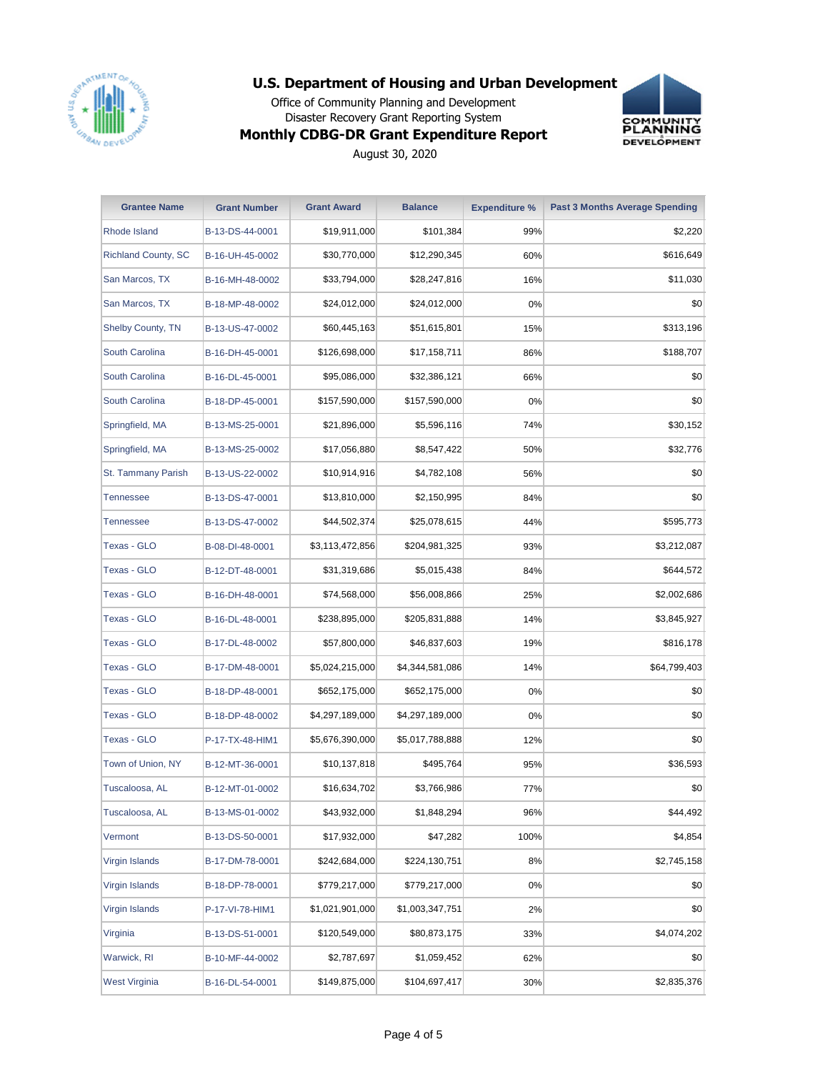

Office of Community Planning and Development Disaster Recovery Grant Reporting System **Monthly CDBG-DR Grant Expenditure Report**



| <b>Grantee Name</b>        | <b>Grant Number</b> | <b>Grant Award</b> | <b>Balance</b>  | <b>Expenditure %</b> | <b>Past 3 Months Average Spending</b> |
|----------------------------|---------------------|--------------------|-----------------|----------------------|---------------------------------------|
| Rhode Island               | B-13-DS-44-0001     | \$19,911,000       | \$101,384       | 99%                  | \$2,220                               |
| <b>Richland County, SC</b> | B-16-UH-45-0002     | \$30,770,000       | \$12,290,345    | 60%                  | \$616,649                             |
| San Marcos, TX             | B-16-MH-48-0002     | \$33,794,000       | \$28,247,816    | 16%                  | \$11,030                              |
| San Marcos, TX             | B-18-MP-48-0002     | \$24,012,000       | \$24,012,000    | 0%                   | \$0                                   |
| Shelby County, TN          | B-13-US-47-0002     | \$60,445,163       | \$51,615,801    | 15%                  | \$313,196                             |
| South Carolina             | B-16-DH-45-0001     | \$126,698,000      | \$17,158,711    | 86%                  | \$188,707                             |
| South Carolina             | B-16-DL-45-0001     | \$95,086,000       | \$32,386,121    | 66%                  | \$0                                   |
| South Carolina             | B-18-DP-45-0001     | \$157,590,000      | \$157,590,000   | 0%                   | \$0                                   |
| Springfield, MA            | B-13-MS-25-0001     | \$21,896,000       | \$5,596,116     | 74%                  | \$30,152                              |
| Springfield, MA            | B-13-MS-25-0002     | \$17,056,880       | \$8,547,422     | 50%                  | \$32,776                              |
| <b>St. Tammany Parish</b>  | B-13-US-22-0002     | \$10,914,916       | \$4,782,108     | 56%                  | \$0                                   |
| Tennessee                  | B-13-DS-47-0001     | \$13,810,000       | \$2,150,995     | 84%                  | \$0                                   |
| Tennessee                  | B-13-DS-47-0002     | \$44,502,374       | \$25,078,615    | 44%                  | \$595,773                             |
| <b>Texas - GLO</b>         | B-08-DI-48-0001     | \$3,113,472,856    | \$204,981,325   | 93%                  | \$3,212,087                           |
| Texas - GLO                | B-12-DT-48-0001     | \$31,319,686       | \$5,015,438     | 84%                  | \$644,572                             |
| Texas - GLO                | B-16-DH-48-0001     | \$74,568,000       | \$56,008,866    | 25%                  | \$2,002,686                           |
| Texas - GLO                | B-16-DL-48-0001     | \$238,895,000      | \$205,831,888   | 14%                  | \$3,845,927                           |
| Texas - GLO                | B-17-DL-48-0002     | \$57,800,000       | \$46,837,603    | 19%                  | \$816,178                             |
| Texas - GLO                | B-17-DM-48-0001     | \$5,024,215,000    | \$4,344,581,086 | 14%                  | \$64,799,403                          |
| Texas - GLO                | B-18-DP-48-0001     | \$652,175,000      | \$652,175,000   | $0\%$                | \$0                                   |
| Texas - GLO                | B-18-DP-48-0002     | \$4,297,189,000    | \$4,297,189,000 | $0\%$                | \$0                                   |
| Texas - GLO                | P-17-TX-48-HIM1     | \$5,676,390,000    | \$5,017,788,888 | 12%                  | \$0                                   |
| Town of Union, NY          | B-12-MT-36-0001     | \$10,137,818       | \$495,764       | 95%                  | \$36,593                              |
| Tuscaloosa, AL             | B-12-MT-01-0002     | \$16,634,702       | \$3,766,986     | 77%                  | \$0                                   |
| Tuscaloosa, AL             | B-13-MS-01-0002     | \$43,932,000       | \$1,848,294     | 96%                  | \$44,492                              |
| Vermont                    | B-13-DS-50-0001     | \$17,932,000       | \$47,282        | 100%                 | \$4,854                               |
| Virgin Islands             | B-17-DM-78-0001     | \$242,684,000      | \$224,130,751   | 8%                   | \$2,745,158                           |
| Virgin Islands             | B-18-DP-78-0001     | \$779,217,000      | \$779,217,000   | $0\%$                | \$0                                   |
| Virgin Islands             | P-17-VI-78-HIM1     | \$1,021,901,000    | \$1,003,347,751 | 2%                   | \$0                                   |
| Virginia                   | B-13-DS-51-0001     | \$120,549,000      | \$80,873,175    | 33%                  | \$4,074,202                           |
| Warwick, RI                | B-10-MF-44-0002     | \$2,787,697        | \$1,059,452     | 62%                  | \$0                                   |
| <b>West Virginia</b>       | B-16-DL-54-0001     | \$149,875,000      | \$104,697,417   | 30%                  | \$2,835,376                           |